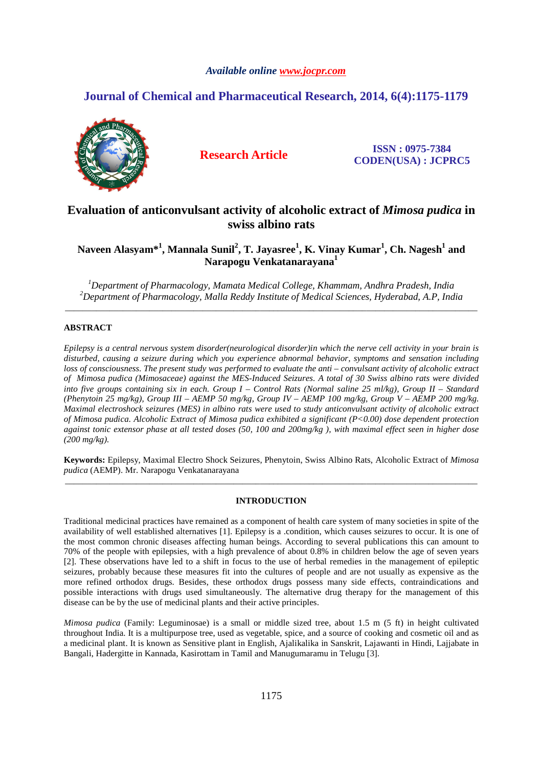# *Available online www.jocpr.com*

# **Journal of Chemical and Pharmaceutical Research, 2014, 6(4):1175-1179**



**Research Article ISSN : 0975-7384 CODEN(USA) : JCPRC5**

# **Evaluation of anticonvulsant activity of alcoholic extract of** *Mimosa pudica* **in swiss albino rats**

**Naveen Alasyam\*<sup>1</sup> , Mannala Sunil<sup>2</sup> , T. Jayasree<sup>1</sup> , K. Vinay Kumar<sup>1</sup> , Ch. Nagesh<sup>1</sup> and Narapogu Venkatanarayana<sup>1</sup>**

*<sup>1</sup>Department of Pharmacology, Mamata Medical College, Khammam, Andhra Pradesh, India <sup>2</sup>Department of Pharmacology, Malla Reddy Institute of Medical Sciences, Hyderabad, A.P, India*  \_\_\_\_\_\_\_\_\_\_\_\_\_\_\_\_\_\_\_\_\_\_\_\_\_\_\_\_\_\_\_\_\_\_\_\_\_\_\_\_\_\_\_\_\_\_\_\_\_\_\_\_\_\_\_\_\_\_\_\_\_\_\_\_\_\_\_\_\_\_\_\_\_\_\_\_\_\_\_\_\_\_\_\_\_\_\_\_\_\_\_\_\_

# **ABSTRACT**

*Epilepsy is a central nervous system disorder(neurological disorder)in which the nerve cell activity in your brain is disturbed, causing a seizure during which you experience abnormal behavior, symptoms and sensation including loss of consciousness. The present study was performed to evaluate the anti – convulsant activity of alcoholic extract of Mimosa pudica (Mimosaceae) against the MES-Induced Seizures. A total of 30 Swiss albino rats were divided into five groups containing six in each. Group I – Control Rats (Normal saline 25 ml/kg), Group II – Standard (Phenytoin 25 mg/kg), Group III – AEMP 50 mg/kg, Group IV – AEMP 100 mg/kg, Group V – AEMP 200 mg/kg. Maximal electroshock seizures (MES) in albino rats were used to study anticonvulsant activity of alcoholic extract of Mimosa pudica. Alcoholic Extract of Mimosa pudica exhibited a significant (P<0.00) dose dependent protection against tonic extensor phase at all tested doses (50, 100 and 200mg/kg ), with maximal effect seen in higher dose (200 mg/kg).* 

**Keywords:** Epilepsy, Maximal Electro Shock Seizures, Phenytoin, Swiss Albino Rats, Alcoholic Extract of *Mimosa pudica* (AEMP). Mr. Narapogu Venkatanarayana \_\_\_\_\_\_\_\_\_\_\_\_\_\_\_\_\_\_\_\_\_\_\_\_\_\_\_\_\_\_\_\_\_\_\_\_\_\_\_\_\_\_\_\_\_\_\_\_\_\_\_\_\_\_\_\_\_\_\_\_\_\_\_\_\_\_\_\_\_\_\_\_\_\_\_\_\_\_\_\_\_\_\_\_\_\_\_\_\_\_\_\_\_

# **INTRODUCTION**

Traditional medicinal practices have remained as a component of health care system of many societies in spite of the availability of well established alternatives [1]. Epilepsy is a .condition, which causes seizures to occur. It is one of the most common chronic diseases affecting human beings. According to several publications this can amount to 70% of the people with epilepsies, with a high prevalence of about 0.8% in children below the age of seven years [2]. These observations have led to a shift in focus to the use of herbal remedies in the management of epileptic seizures, probably because these measures fit into the cultures of people and are not usually as expensive as the more refined orthodox drugs. Besides, these orthodox drugs possess many side effects, contraindications and possible interactions with drugs used simultaneously. The alternative drug therapy for the management of this disease can be by the use of medicinal plants and their active principles.

*Mimosa pudica* (Family: Leguminosae) is a small or middle sized tree, about 1.5 m (5 ft) in height cultivated throughout India. It is a multipurpose tree, used as vegetable, spice, and a source of cooking and cosmetic oil and as a medicinal plant. It is known as Sensitive plant in English, Ajalikalika in Sanskrit, Lajawanti in Hindi, Lajjabate in Bangali, Hadergitte in Kannada, Kasirottam in Tamil and Manugumaramu in Telugu [3].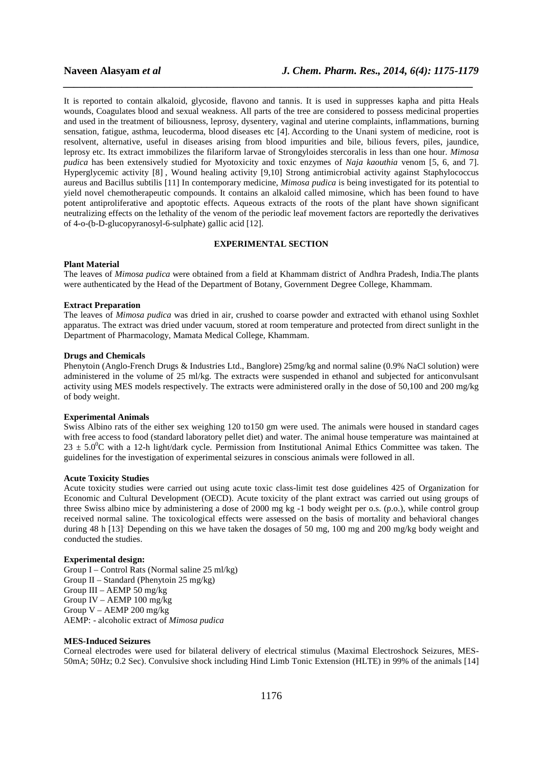It is reported to contain alkaloid, glycoside, flavono and tannis. It is used in suppresses kapha and pitta Heals wounds, Coagulates blood and sexual weakness. All parts of the tree are considered to possess medicinal properties and used in the treatment of biliousness, leprosy, dysentery, vaginal and uterine complaints, inflammations, burning sensation, fatigue, asthma, leucoderma, blood diseases etc [4]. According to the Unani system of medicine, root is resolvent, alternative, useful in diseases arising from blood impurities and bile, bilious fevers, piles, jaundice, leprosy etc. Its extract immobilizes the filariform larvae of Strongyloides stercoralis in less than one hour. *Mimosa pudica* has been extensively studied for Myotoxicity and toxic enzymes of *Naja kaouthia* venom [5, 6, and 7]. Hyperglycemic activity [8] , Wound healing activity [9,10] Strong antimicrobial activity against Staphylococcus aureus and Bacillus subtilis [11] In contemporary medicine, *Mimosa pudica* is being investigated for its potential to yield novel chemotherapeutic compounds. It contains an alkaloid called mimosine, which has been found to have potent antiproliferative and apoptotic effects. Aqueous extracts of the roots of the plant have shown significant neutralizing effects on the lethality of the venom of the periodic leaf movement factors are reportedly the derivatives of 4-o-(b-D-glucopyranosyl-6-sulphate) gallic acid [12].

*\_\_\_\_\_\_\_\_\_\_\_\_\_\_\_\_\_\_\_\_\_\_\_\_\_\_\_\_\_\_\_\_\_\_\_\_\_\_\_\_\_\_\_\_\_\_\_\_\_\_\_\_\_\_\_\_\_\_\_\_\_\_\_\_\_\_\_\_\_\_\_\_\_\_\_\_\_*

# **EXPERIMENTAL SECTION**

#### **Plant Material**

The leaves of *Mimosa pudica* were obtained from a field at Khammam district of Andhra Pradesh, India.The plants were authenticated by the Head of the Department of Botany, Government Degree College, Khammam.

#### **Extract Preparation**

The leaves of *Mimosa pudica* was dried in air, crushed to coarse powder and extracted with ethanol using Soxhlet apparatus. The extract was dried under vacuum, stored at room temperature and protected from direct sunlight in the Department of Pharmacology, Mamata Medical College, Khammam.

## **Drugs and Chemicals**

Phenytoin (Anglo-French Drugs & Industries Ltd., Banglore) 25mg/kg and normal saline (0.9% NaCl solution) were administered in the volume of 25 ml/kg. The extracts were suspended in ethanol and subjected for anticonvulsant activity using MES models respectively. The extracts were administered orally in the dose of 50,100 and 200 mg/kg of body weight.

#### **Experimental Animals**

Swiss Albino rats of the either sex weighing 120 to150 gm were used. The animals were housed in standard cages with free access to food (standard laboratory pellet diet) and water. The animal house temperature was maintained at  $23 \pm 5.0^{\circ}$ C with a 12-h light/dark cycle. Permission from Institutional Animal Ethics Committee was taken. The guidelines for the investigation of experimental seizures in conscious animals were followed in all.

# **Acute Toxicity Studies**

Acute toxicity studies were carried out using acute toxic class-limit test dose guidelines 425 of Organization for Economic and Cultural Development (OECD). Acute toxicity of the plant extract was carried out using groups of three Swiss albino mice by administering a dose of 2000 mg kg -1 body weight per o.s. (p.o.), while control group received normal saline. The toxicological effects were assessed on the basis of mortality and behavioral changes during 48 h [13] Depending on this we have taken the dosages of 50 mg, 100 mg and 200 mg/kg body weight and conducted the studies.

#### **Experimental design:**

Group I – Control Rats (Normal saline 25 ml/kg) Group II – Standard (Phenytoin 25 mg/kg) Group III – AEMP 50 mg/kg Group IV – AEMP 100 mg/kg Group V – AEMP 200 mg/kg AEMP: - alcoholic extract of *Mimosa pudica*

# **MES-Induced Seizures**

Corneal electrodes were used for bilateral delivery of electrical stimulus (Maximal Electroshock Seizures, MES-50mA; 50Hz; 0.2 Sec). Convulsive shock including Hind Limb Tonic Extension (HLTE) in 99% of the animals [14]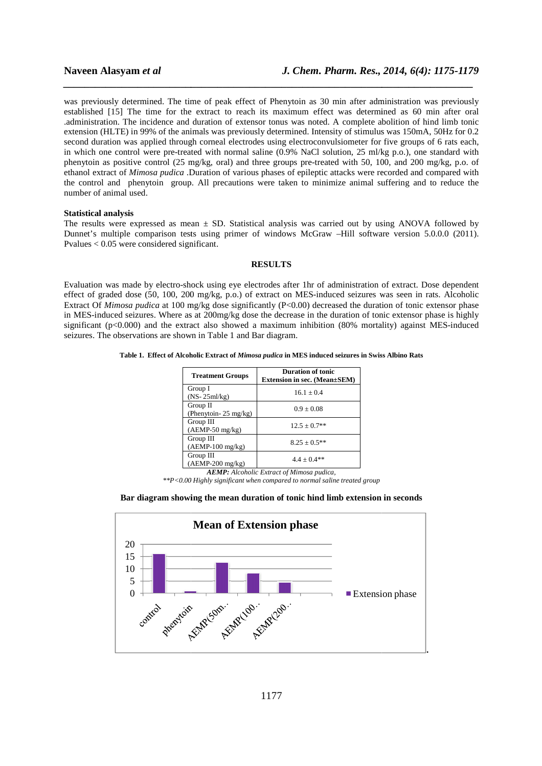# **Naveen Alasyam** *et al*

was previously determined. The time of peak effect of Phenytoin as 30 min after administration was previously established [15] The time for the extract to reach its maximum effect was determined as 60 min after oral established [15] The time for the extract to reach its maximum effect was determined as 60 min after oral administration. The incidence and duration of extensor tonus was noted. A complete abolition of hind limb tonic extension (HLTE) in 99% of the animals was previously determined. Intensity of stimulus was 150mA, 50Hz for 0.2 extension (HLTE) in 99% of the animals was previously determined. Intensity of stimulus was 150mA, 50Hz for 0.2<br>second duration was applied through corneal electrodes using electroconvulsiometer for five groups of 6 rats e second duration was applied through corneal electrodes using electroconvulsiometer for five groups of 6 rats each, in which one control were pre-treated with normal saline (0.9% NaCl solution, 25 ml/kg p.o.), one standard phenytoin as positive control (25 mg/kg, oral) and three groups pre-treated with 50, 100, and 200 mg/kg, p.o. of ethanol extract of *Mimosa pudica* .Duration of various phases of epileptic attacks were recorded and compared with the control and phenytoin group. All precautions were taken to minimize animal suffering and to reduce the number of animal used. ethanol extract of *Mimosa pudica* .Duration of various phases of epileptic attacks were recorded and compared with<br>the control and phenytoin group. All precautions were taken to minimize animal suffering and to reduce the

*\_\_\_\_\_\_\_\_\_\_\_\_\_\_\_\_\_\_\_\_\_\_\_\_\_\_\_\_\_\_\_\_\_\_\_\_\_\_\_\_\_\_\_\_\_\_\_\_\_\_\_\_\_\_\_\_\_\_\_\_\_\_\_\_\_\_\_\_\_\_\_\_\_\_\_\_\_*

### **Statistical analysis**

Dunnet's multiple comparison tests using primer of windows McGraw –Hill software version 5.0.0.0 (2011). Pvalues < 0.05 were considered significant.

# **RESULTS**

Evaluation was made by electro-shock using eye electrodes after 1hr of administration of extract. Dose dependent Evaluation was made by electro-shock using eye electrodes after 1hr of administration of extract. Dose dependent<br>effect of graded dose (50, 100, 200 mg/kg, p.o.) of extract on MES-induced seizures was seen in rats. Alcohol Extract Of *Mimosa pudica* at 100 mg/kg dose significantly (P<0.00) decreased the duration of tonic extensor phase in MES-induced seizures. Where as at 200mg/kg dose the decrease in the duration of tonic extensor phase is highly significant (p<0.000) and the extract also showed a maximum inhibition (80% mortality) again seizures. The observations are shown in Table 1 1 and Bar diagram. g primer of windows McGraw –Hill software version 5.0.0.0 (2011).<br>
NESULTS<br>
ng eye electrodes after 1hr of administration of extract. Dose dependent<br>
g, p.o.) of extract on MES-induced seizures was seen in rats. Alcoholic<br>

#### **Table 1. Effect of Alcoholic Extract of of** *Mimosa pudica* **in MES induced seizures in Swiss Albino Rats**

| <b>Treatment Groups</b>                      | <b>Duration of tonic</b><br><b>Extension in sec. (Mean</b> ±SEM) |
|----------------------------------------------|------------------------------------------------------------------|
| Group I<br>$(NS-25ml/kg)$                    | $16.1 + 0.4$                                                     |
| Group II<br>(Phenytoin- $25 \text{ mg/kg}$ ) | $0.9 \pm 0.08$                                                   |
| Group III<br>$(AEMP-50$ mg/kg)               | $12.5 + 0.7**$                                                   |
| Group III<br>$(AEMP-100 \text{ mg/kg})$      | $8.25 + 0.5**$                                                   |
| Group III<br>$(AEMP-200$ mg/kg)              | $4.4 + 0.4**$                                                    |

*AEMP: Alcoholic Extract of Mimosa pudica,* 

*\*\*P<0.00 Highly significant when compared to normal saline treated group to treated* 

#### **Bar diagram showing the mean duration of tonic hind limb extension in seconds**

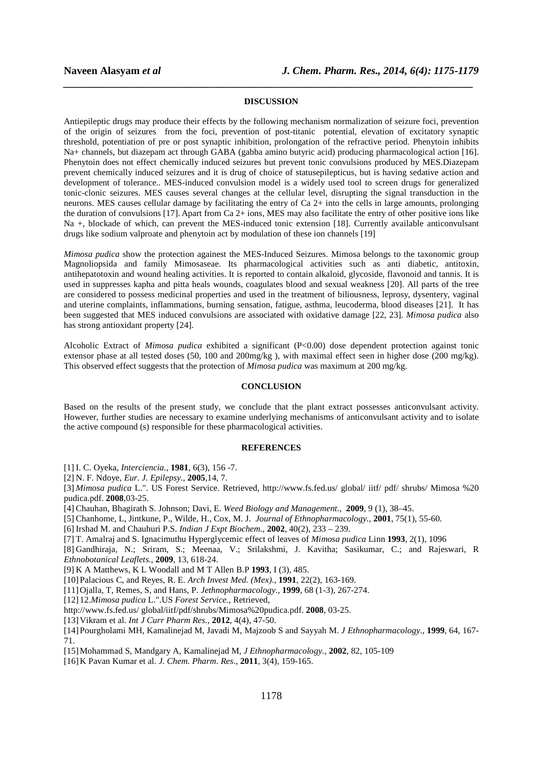# **DISCUSSION**

*\_\_\_\_\_\_\_\_\_\_\_\_\_\_\_\_\_\_\_\_\_\_\_\_\_\_\_\_\_\_\_\_\_\_\_\_\_\_\_\_\_\_\_\_\_\_\_\_\_\_\_\_\_\_\_\_\_\_\_\_\_\_\_\_\_\_\_\_\_\_\_\_\_\_\_\_\_*

Antiepileptic drugs may produce their effects by the following mechanism normalization of seizure foci, prevention of the origin of seizures from the foci, prevention of post-titanic potential, elevation of excitatory synaptic threshold, potentiation of pre or post synaptic inhibition, prolongation of the refractive period. Phenytoin inhibits Na+ channels, but diazepam act through GABA (gabba amino butyric acid) producing pharmacological action [16]. Phenytoin does not effect chemically induced seizures but prevent tonic convulsions produced by MES.Diazepam prevent chemically induced seizures and it is drug of choice of statusepilepticus, but is having sedative action and development of tolerance.. MES-induced convulsion model is a widely used tool to screen drugs for generalized tonic-clonic seizures. MES causes several changes at the cellular level, disrupting the signal transduction in the neurons. MES causes cellular damage by facilitating the entry of Ca 2+ into the cells in large amounts, prolonging the duration of convulsions [17]. Apart from Ca 2+ ions, MES may also facilitate the entry of other positive ions like Na +, blockade of which, can prevent the MES-induced tonic extension [18]. Currently available anticonvulsant drugs like sodium valproate and phenytoin act by modulation of these ion channels [19]

*Mimosa pudica* show the protection againest the MES-Induced Seizures. Mimosa belongs to the taxonomic group Magnoliopsida and family Mimosaseae. Its pharmacological activities such as anti diabetic, antitoxin, antihepatotoxin and wound healing activities. It is reported to contain alkaloid, glycoside, flavonoid and tannis. It is used in suppresses kapha and pitta heals wounds, coagulates blood and sexual weakness [20]. All parts of the tree are considered to possess medicinal properties and used in the treatment of biliousness, leprosy, dysentery, vaginal and uterine complaints, inflammations, burning sensation, fatigue, asthma, leucoderma, blood diseases [21]. It has been suggested that MES induced convulsions are associated with oxidative damage [22, 23]. *Mimosa pudica* also has strong antioxidant property [24].

Alcoholic Extract of *Mimosa pudica* exhibited a significant (P<0.00) dose dependent protection against tonic extensor phase at all tested doses (50, 100 and 200mg/kg ), with maximal effect seen in higher dose (200 mg/kg). This observed effect suggests that the protection of *Mimosa pudica* was maximum at 200 mg/kg.

# **CONCLUSION**

Based on the results of the present study, we conclude that the plant extract possesses anticonvulsant activity. However, further studies are necessary to examine underlying mechanisms of anticonvulsant activity and to isolate the active compound (s) responsible for these pharmacological activities.

### **REFERENCES**

[1] I. C. Oyeka, *Interciencia.,* **1981**, 6(3), 156 -7.

[2] N. F. Ndoye, *Eur. J. Epilepsy.,* **2005**,14, 7.

[3] *Mimosa pudica* L.". US Forest Service. Retrieved, http://www.fs.fed.us/ global/ iitf/ pdf/ shrubs/ Mimosa %20 pudica.pdf. **2008**,03-25.

[4] Chauhan, Bhagirath S. Johnson; Davi, E. *Weed Biology and Management.,* **2009**, 9 (1), 38–45.

[5] Chanhome, L, Jintkune, P., Wilde, H., Cox, M. J. *Journal of Ethnopharmacology.,* **2001**, 75(1), 55-60.

[6] Irshad M. and Chauhuri P.S. *Indian J Expt Biochem.,* **2002**, 40(2), 233 – 239.

[7] T. Amalraj and S. Ignacimuthu Hyperglycemic effect of leaves of *Mimosa pudica* Linn **1993**, 2(1), 1096

[8] Gandhiraja, N.; Sriram, S.; Meenaa, V.; Srilakshmi, J. Kavitha; Sasikumar, C.; and Rajeswari, R *Ethnobotanical Leaflets.*, **2009**, 13, 618-24.

[9] K A Matthews, K L Woodall and M T Allen B.P **1993**, I (3), 485.

[10]Palacious C, and Reyes, R. E. *Arch Invest Med. (Mex).*, **1991**, 22(2), 163-169.

[11]Ojalla, T, Remes, S, and Hans, P. *Jethnopharmacology.*, **1999**, 68 (1-3), 267-274.

[12] 12.*Mimosa pudica* L.".US *Forest Service.*, Retrieved,

http://www.fs.fed.us/ global/iitf/pdf/shrubs/Mimosa%20pudica.pdf. **2008**, 03-25.

[13]Vikram et al. *Int J Curr Pharm Res.,* **2012**, 4(4), 47-50.

[14]Pourgholami MH, Kamalinejad M, Javadi M, Majzoob S and Sayyah M. *J Ethnopharmacology*., **1999**, 64, 167- 71.

[15]Mohammad S, Mandgary A, Kamalinejad M, *J Ethnopharmacology.,* **2002**, 82, 105-109

[16]K Pavan Kumar et al. *J. Chem. Pharm. Res*., **2011**, 3(4), 159-165.